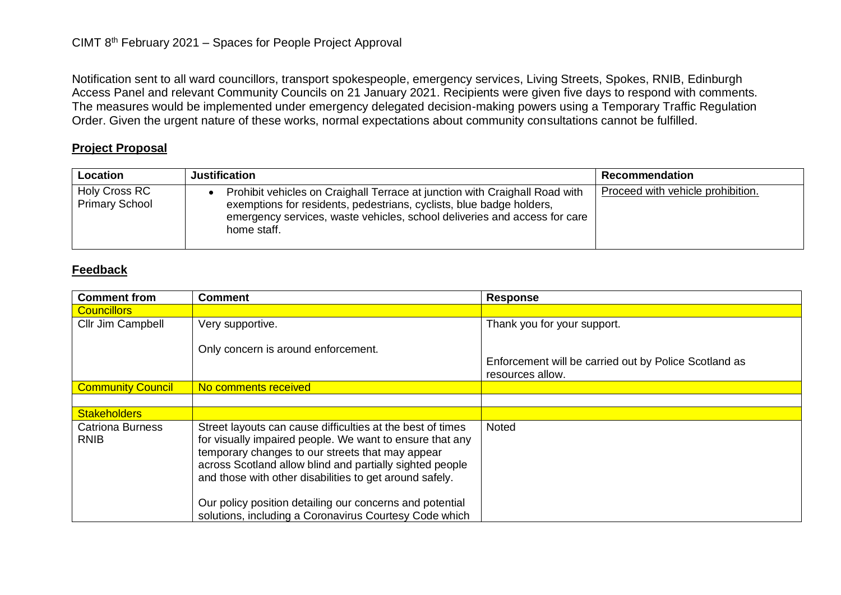Notification sent to all ward councillors, transport spokespeople, emergency services, Living Streets, Spokes, RNIB, Edinburgh Access Panel and relevant Community Councils on 21 January 2021. Recipients were given five days to respond with comments. The measures would be implemented under emergency delegated decision-making powers using a Temporary Traffic Regulation Order. Given the urgent nature of these works, normal expectations about community consultations cannot be fulfilled.

## **Project Proposal**

| Location                                      | <b>Justification</b>                                                                                                                                                                                                                            | Recommendation                    |
|-----------------------------------------------|-------------------------------------------------------------------------------------------------------------------------------------------------------------------------------------------------------------------------------------------------|-----------------------------------|
| <b>Holy Cross RC</b><br><b>Primary School</b> | Prohibit vehicles on Craighall Terrace at junction with Craighall Road with<br>exemptions for residents, pedestrians, cyclists, blue badge holders,<br>emergency services, waste vehicles, school deliveries and access for care<br>home staff. | Proceed with vehicle prohibition. |

## **Feedback**

| <b>Comment from</b>                    | <b>Comment</b>                                                                                                                                                                                                                                                                                    | <b>Response</b>                                                           |
|----------------------------------------|---------------------------------------------------------------------------------------------------------------------------------------------------------------------------------------------------------------------------------------------------------------------------------------------------|---------------------------------------------------------------------------|
| <b>Councillors</b>                     |                                                                                                                                                                                                                                                                                                   |                                                                           |
| Cllr Jim Campbell                      | Very supportive.                                                                                                                                                                                                                                                                                  | Thank you for your support.                                               |
|                                        | Only concern is around enforcement.                                                                                                                                                                                                                                                               | Enforcement will be carried out by Police Scotland as<br>resources allow. |
| <b>Community Council</b>               | No comments received                                                                                                                                                                                                                                                                              |                                                                           |
|                                        |                                                                                                                                                                                                                                                                                                   |                                                                           |
| <b>Stakeholders</b>                    |                                                                                                                                                                                                                                                                                                   |                                                                           |
| <b>Catriona Burness</b><br><b>RNIB</b> | Street layouts can cause difficulties at the best of times<br>for visually impaired people. We want to ensure that any<br>temporary changes to our streets that may appear<br>across Scotland allow blind and partially sighted people<br>and those with other disabilities to get around safely. | Noted                                                                     |
|                                        | Our policy position detailing our concerns and potential<br>solutions, including a Coronavirus Courtesy Code which                                                                                                                                                                                |                                                                           |